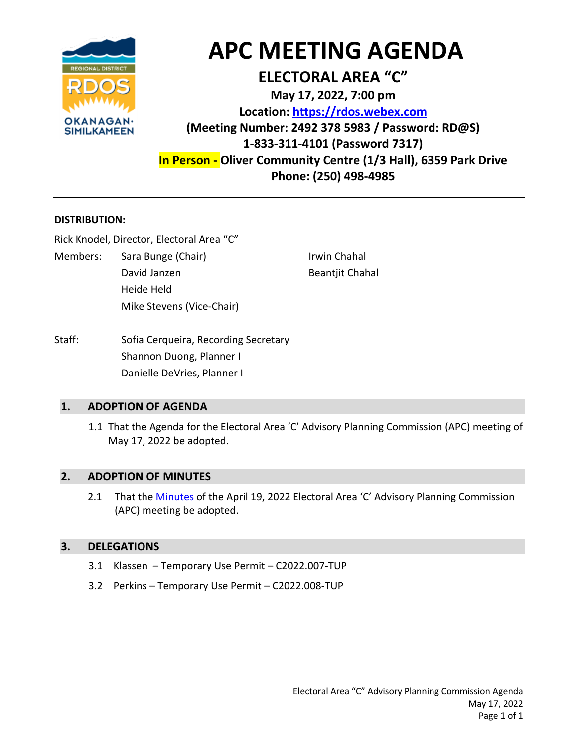

# **APC MEETING AGENDA**

# **ELECTORAL AREA "C"**

**May 17, 2022, 7:00 pm Location: [https://rdos.webex.com](https://rdos.webex.com/) (Meeting Number: 2492 378 5983 / Password: RD@S) 1-833-311-4101 (Password 7317) In Person - Oliver Community Centre (1/3 Hall), 6359 Park Drive Phone: (250) 498-4985**

#### **DISTRIBUTION:**

Rick Knodel, Director, Electoral Area "C"

Members: Sara Bunge (Chair) Sara Bunge (Chair) Shahal Irwin Chahal David Janzen Beantiit Chahal Heide Held Mike Stevens (Vice-Chair)

Staff: Sofia Cerqueira, Recording Secretary Shannon Duong, Planner I Danielle DeVries, Planner I

#### **1. ADOPTION OF AGENDA**

1.1 That the Agenda for the Electoral Area 'C' Advisory Planning Commission (APC) meeting of May 17, 2022 be adopted.

#### **2. ADOPTION OF MINUTES**

2.1 That the [Minutes](https://www.rdos.bc.ca/assets/PLANNING/AreaC/2022/ACP/2022-05-17/21.pdf) of the April 19, 2022 Electoral Area 'C' Advisory Planning Commission (APC) meeting be adopted.

## **3. DELEGATIONS**

- 3.1 Klassen Temporary Use Permit C2022.007-TUP
- 3.2 Perkins Temporary Use Permit C2022.008-TUP